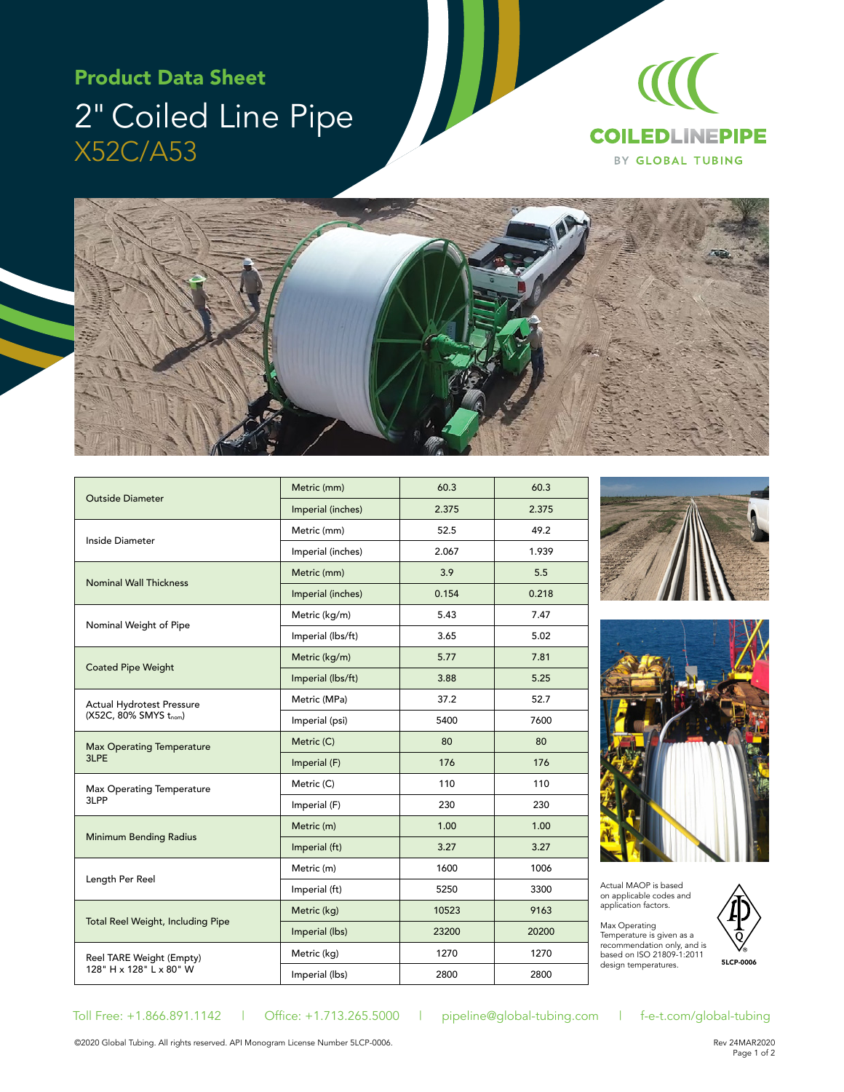## Product Data Sheet 2" Coiled Line Pipe X52C/A53





| <b>Outside Diameter</b>                                   | Metric (mm)       | 60.3  | 60.3  |
|-----------------------------------------------------------|-------------------|-------|-------|
|                                                           | Imperial (inches) | 2.375 | 2.375 |
| Inside Diameter                                           | Metric (mm)       | 52.5  | 49.2  |
|                                                           | Imperial (inches) | 2.067 | 1.939 |
| <b>Nominal Wall Thickness</b>                             | Metric (mm)       | 3.9   | 5.5   |
|                                                           | Imperial (inches) | 0.154 | 0.218 |
| Nominal Weight of Pipe                                    | Metric (kg/m)     | 5.43  | 7.47  |
|                                                           | Imperial (lbs/ft) | 3.65  | 5.02  |
| <b>Coated Pipe Weight</b>                                 | Metric (kg/m)     | 5.77  | 7.81  |
|                                                           | Imperial (lbs/ft) | 3.88  | 5.25  |
| <b>Actual Hydrotest Pressure</b><br>(X52C, 80% SMYS tnom) | Metric (MPa)      | 37.2  | 52.7  |
|                                                           | Imperial (psi)    | 5400  | 7600  |
| <b>Max Operating Temperature</b><br>3LPE                  | Metric (C)        | 80    | 80    |
|                                                           | Imperial (F)      | 176   | 176   |
| Max Operating Temperature<br>3LPP                         | Metric (C)        | 110   | 110   |
|                                                           | Imperial (F)      | 230   | 230   |
| <b>Minimum Bending Radius</b>                             | Metric (m)        | 1.00  | 1.00  |
|                                                           | Imperial (ft)     | 3.27  | 3.27  |
| Length Per Reel                                           | Metric (m)        | 1600  | 1006  |
|                                                           | Imperial (ft)     | 5250  | 3300  |
| Total Reel Weight, Including Pipe                         | Metric (kg)       | 10523 | 9163  |
|                                                           | Imperial (lbs)    | 23200 | 20200 |
| Reel TARE Weight (Empty)<br>128" H x 128" L x 80" W       | Metric (kg)       | 1270  | 1270  |
|                                                           | Imperial (lbs)    | 2800  | 2800  |





Actual MAOP is based on applicable codes and application factors.

Max Operating<br>Temperature is given as a recommendation only, and is based on ISO 21809-1:2011 design temperatures.



Toll Free: +1.866.891.1142 | Office: +1.713.265.5000 | pipeline@global-tubing.com | f-e-t.com/global-tubing

©2020 Global Tubing. All rights reserved. API Monogram License Number 5LCP-0006.